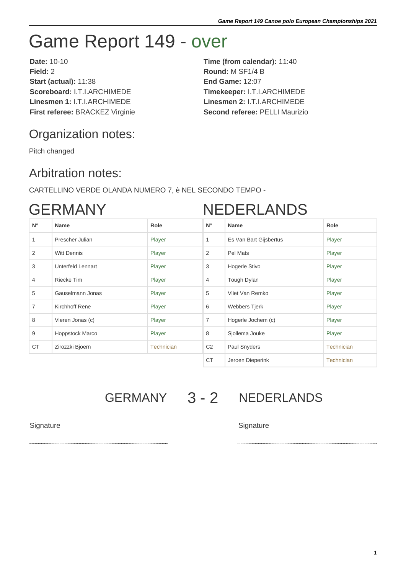# Game Report 149 - over

**Date:** 10-10 **Time (from calendar):** 11:40 **Field:** 2 **Round:** M SF1/4 B **Start (actual):** 11:38 **End Game:** 12:07 **Scoreboard:** I.T.I.ARCHIMEDE **Timekeeper:** I.T.I.ARCHIMEDE **Linesmen 1:** I.T.I.ARCHIMEDE **Linesmen 2:** I.T.I.ARCHIMEDE **First referee:** BRACKEZ Virginie **Second referee:** PELLI Maurizio

## Organization notes:

Pitch changed

### Arbitration notes:

CARTELLINO VERDE OLANDA NUMERO 7, è NEL SECONDO TEMPO -

## GERMANY

# NEDERLANDS

| $N^{\circ}$    | <b>Name</b>            | Role              | $N^{\circ}$    | <b>Name</b>            | Role              |
|----------------|------------------------|-------------------|----------------|------------------------|-------------------|
| $\mathbf{1}$   | Prescher Julian        | Player            | $\mathbf{1}$   | Es Van Bart Gijsbertus | Player            |
| 2              | <b>Witt Dennis</b>     | Player            | 2              | Pel Mats               | Player            |
| 3              | Unterfeld Lennart      | Player            | 3              | Hogerle Stivo          | Player            |
| $\overline{4}$ | Riecke Tim             | Player            | 4              | Tough Dylan            | Player            |
| 5              | Gauselmann Jonas       | Player            | 5              | Vliet Van Remko        | Player            |
| $\overline{7}$ | Kirchhoff Rene         | Player            | 6              | Webbers Tjerk          | Player            |
| 8              | Vieren Jonas (c)       | Player            | $\overline{7}$ | Hogerle Jochem (c)     | Player            |
| 9              | <b>Hoppstock Marco</b> | Player            | 8              | Sjollema Jouke         | Player            |
| <b>CT</b>      | Zirozzki Bjoern        | <b>Technician</b> | C <sub>2</sub> | Paul Snyders           | <b>Technician</b> |
|                |                        |                   | <b>CT</b>      | Jeroen Dieperink       | <b>Technician</b> |

GERMANY 3 - 2 NEDERLANDS

#### Signature Signature Signature Signature Signature Signature Signature Signature Signature Signature Signature Signature Signature Signature Signature Signature Signature Signature Signature Signature Signature Signature Si